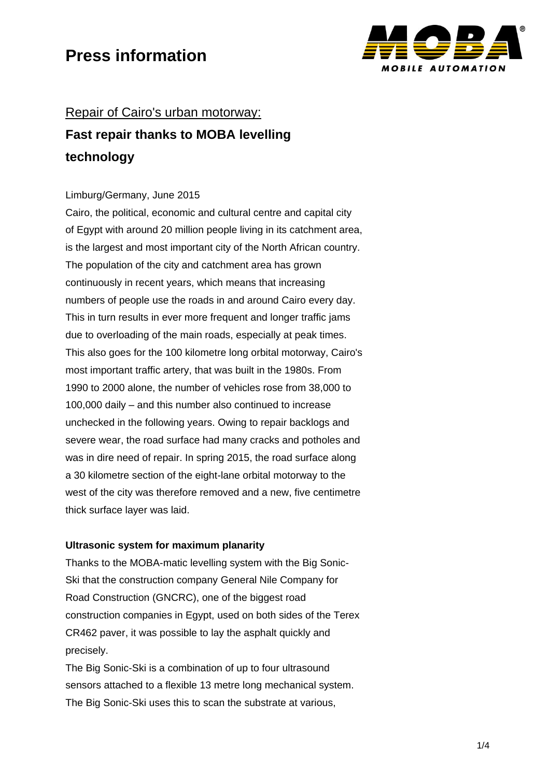

# Repair of Cairo's urban motorway: **Fast repair thanks to MOBA levelling technology**

### Limburg/Germany, June 2015

Cairo, the political, economic and cultural centre and capital city of Egypt with around 20 million people living in its catchment area, is the largest and most important city of the North African country. The population of the city and catchment area has grown continuously in recent years, which means that increasing numbers of people use the roads in and around Cairo every day. This in turn results in ever more frequent and longer traffic jams due to overloading of the main roads, especially at peak times. This also goes for the 100 kilometre long orbital motorway, Cairo's most important traffic artery, that was built in the 1980s. From 1990 to 2000 alone, the number of vehicles rose from 38,000 to 100,000 daily – and this number also continued to increase unchecked in the following years. Owing to repair backlogs and severe wear, the road surface had many cracks and potholes and was in dire need of repair. In spring 2015, the road surface along a 30 kilometre section of the eight-lane orbital motorway to the west of the city was therefore removed and a new, five centimetre thick surface layer was laid.

### **Ultrasonic system for maximum planarity**

Thanks to the MOBA-matic levelling system with the Big Sonic-Ski that the construction company General Nile Company for Road Construction (GNCRC), one of the biggest road construction companies in Egypt, used on both sides of the Terex CR462 paver, it was possible to lay the asphalt quickly and precisely.

The Big Sonic-Ski is a combination of up to four ultrasound sensors attached to a flexible 13 metre long mechanical system. The Big Sonic-Ski uses this to scan the substrate at various,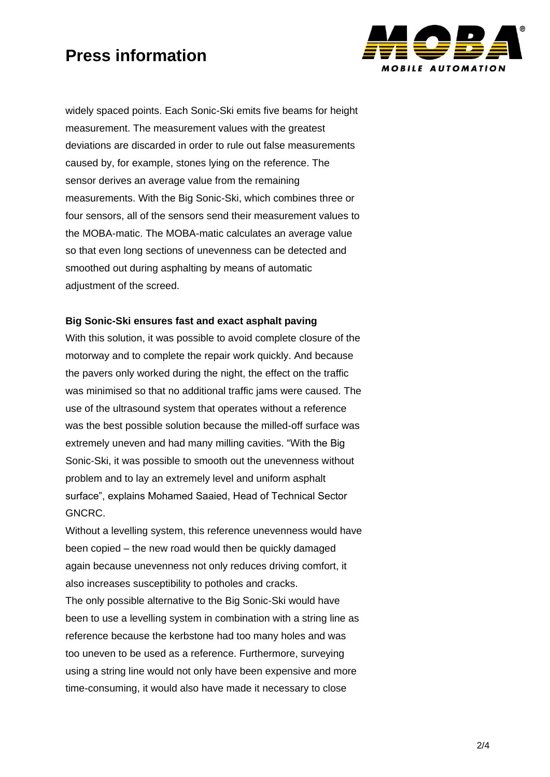

widely spaced points. Each Sonic-Ski emits five beams for height measurement. The measurement values with the greatest deviations are discarded in order to rule out false measurements caused by, for example, stones lying on the reference. The sensor derives an average value from the remaining measurements. With the Big Sonic-Ski, which combines three or four sensors, all of the sensors send their measurement values to the MOBA-matic. The MOBA-matic calculates an average value so that even long sections of unevenness can be detected and smoothed out during asphalting by means of automatic adjustment of the screed.

#### **Big Sonic-Ski ensures fast and exact asphalt paving**

With this solution, it was possible to avoid complete closure of the motorway and to complete the repair work quickly. And because the pavers only worked during the night, the effect on the traffic was minimised so that no additional traffic jams were caused. The use of the ultrasound system that operates without a reference was the best possible solution because the milled-off surface was extremely uneven and had many milling cavities. "With the Big Sonic-Ski, it was possible to smooth out the unevenness without problem and to lay an extremely level and uniform asphalt surface", explains Mohamed Saaied, Head of Technical Sector GNCRC.

Without a levelling system, this reference unevenness would have been copied – the new road would then be quickly damaged again because unevenness not only reduces driving comfort, it also increases susceptibility to potholes and cracks.

The only possible alternative to the Big Sonic-Ski would have been to use a levelling system in combination with a string line as reference because the kerbstone had too many holes and was too uneven to be used as a reference. Furthermore, surveying using a string line would not only have been expensive and more time-consuming, it would also have made it necessary to close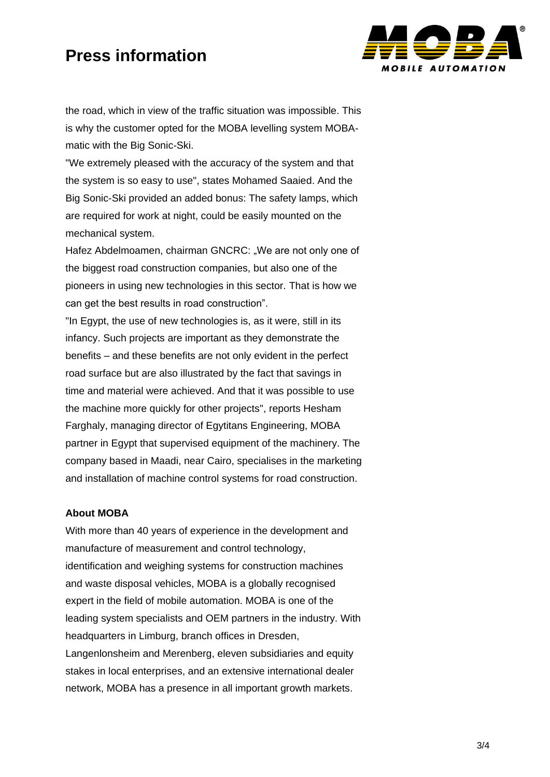

the road, which in view of the traffic situation was impossible. This is why the customer opted for the MOBA levelling system MOBAmatic with the Big Sonic-Ski.

"We extremely pleased with the accuracy of the system and that the system is so easy to use", states Mohamed Saaied. And the Big Sonic-Ski provided an added bonus: The safety lamps, which are required for work at night, could be easily mounted on the mechanical system.

Hafez Abdelmoamen, chairman GNCRC: "We are not only one of the biggest road construction companies, but also one of the pioneers in using new technologies in this sector. That is how we can get the best results in road construction".

"In Egypt, the use of new technologies is, as it were, still in its infancy. Such projects are important as they demonstrate the benefits – and these benefits are not only evident in the perfect road surface but are also illustrated by the fact that savings in time and material were achieved. And that it was possible to use the machine more quickly for other projects", reports Hesham Farghaly, managing director of Egytitans Engineering, MOBA partner in Egypt that supervised equipment of the machinery. The company based in Maadi, near Cairo, specialises in the marketing and installation of machine control systems for road construction.

#### **About MOBA**

With more than 40 years of experience in the development and manufacture of measurement and control technology, identification and weighing systems for construction machines and waste disposal vehicles, MOBA is a globally recognised expert in the field of mobile automation. MOBA is one of the leading system specialists and OEM partners in the industry. With headquarters in Limburg, branch offices in Dresden, Langenlonsheim and Merenberg, eleven subsidiaries and equity stakes in local enterprises, and an extensive international dealer network, MOBA has a presence in all important growth markets.